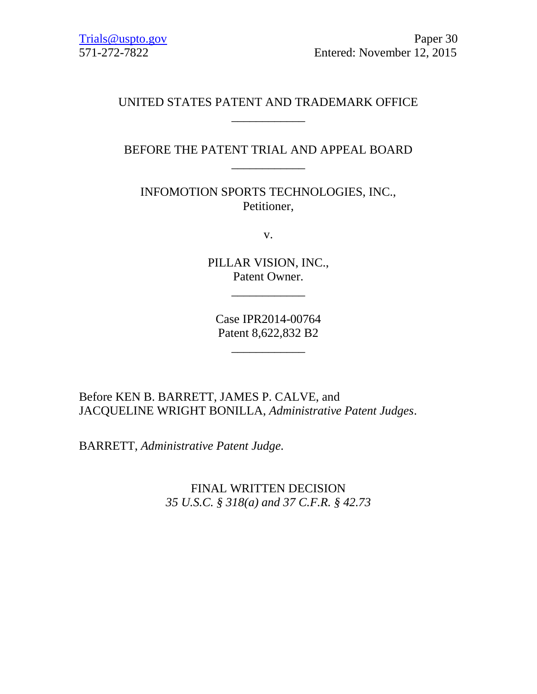## UNITED STATES PATENT AND TRADEMARK OFFICE \_\_\_\_\_\_\_\_\_\_\_\_

## BEFORE THE PATENT TRIAL AND APPEAL BOARD \_\_\_\_\_\_\_\_\_\_\_\_

INFOMOTION SPORTS TECHNOLOGIES, INC., Petitioner,

v.

PILLAR VISION, INC., Patent Owner.

\_\_\_\_\_\_\_\_\_\_\_\_

Case IPR2014-00764 Patent 8,622,832 B2

\_\_\_\_\_\_\_\_\_\_\_\_

Before KEN B. BARRETT, JAMES P. CALVE, and JACQUELINE WRIGHT BONILLA, *Administrative Patent Judges*.

BARRETT, *Administrative Patent Judge.*

FINAL WRITTEN DECISION *35 U.S.C. § 318(a) and 37 C.F.R. § 42.73*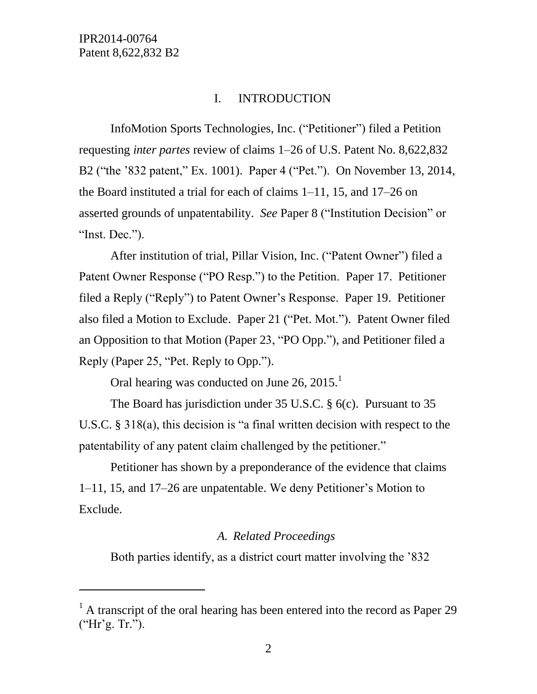l

## I. INTRODUCTION

InfoMotion Sports Technologies, Inc. ("Petitioner") filed a Petition requesting *inter partes* review of claims 1–26 of U.S. Patent No. 8,622,832 B2 ("the '832 patent," Ex. 1001). Paper 4 ("Pet."). On November 13, 2014, the Board instituted a trial for each of claims 1–11, 15, and 17–26 on asserted grounds of unpatentability. *See* Paper 8 ("Institution Decision" or "Inst. Dec.").

After institution of trial, Pillar Vision, Inc. ("Patent Owner") filed a Patent Owner Response ("PO Resp.") to the Petition. Paper 17. Petitioner filed a Reply ("Reply") to Patent Owner's Response. Paper 19. Petitioner also filed a Motion to Exclude. Paper 21 ("Pet. Mot."). Patent Owner filed an Opposition to that Motion (Paper 23, "PO Opp."), and Petitioner filed a Reply (Paper 25, "Pet. Reply to Opp.").

Oral hearing was conducted on June  $26, 2015$ <sup>1</sup>

The Board has jurisdiction under 35 U.S.C. § 6(c). Pursuant to 35 U.S.C. § 318(a), this decision is "a final written decision with respect to the patentability of any patent claim challenged by the petitioner."

Petitioner has shown by a preponderance of the evidence that claims 1–11, 15, and 17–26 are unpatentable. We deny Petitioner's Motion to Exclude.

#### *A. Related Proceedings*

Both parties identify, as a district court matter involving the '832

 $<sup>1</sup>$  A transcript of the oral hearing has been entered into the record as Paper 29</sup> ("Hr'g. Tr.").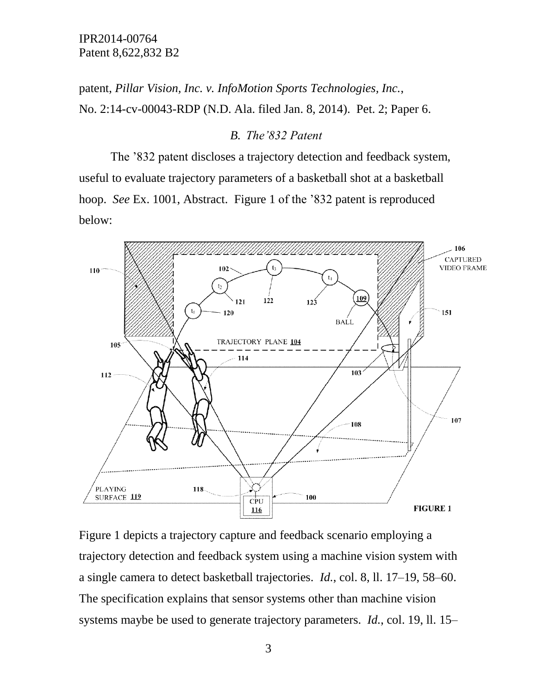patent, *Pillar Vision, Inc. v. InfoMotion Sports Technologies, Inc.*, No. 2:14-cv-00043-RDP (N.D. Ala. filed Jan. 8, 2014). Pet. 2; Paper 6.

#### *B. The'832 Patent*

The '832 patent discloses a trajectory detection and feedback system, useful to evaluate trajectory parameters of a basketball shot at a basketball hoop. *See* Ex. 1001, Abstract. Figure 1 of the '832 patent is reproduced below:



Figure 1 depicts a trajectory capture and feedback scenario employing a trajectory detection and feedback system using a machine vision system with a single camera to detect basketball trajectories. *Id.*, col. 8, ll. 17–19, 58–60. The specification explains that sensor systems other than machine vision systems maybe be used to generate trajectory parameters. *Id.*, col. 19, ll. 15–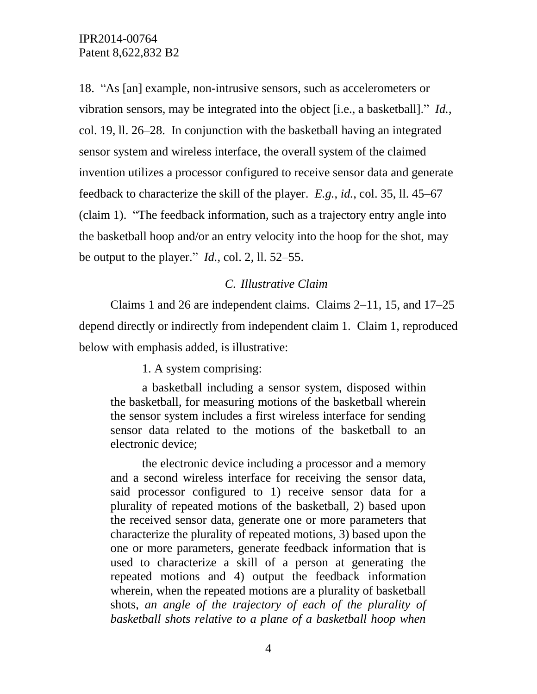18. "As [an] example, non-intrusive sensors, such as accelerometers or vibration sensors, may be integrated into the object [i.e., a basketball]." *Id.*, col. 19, ll. 26–28. In conjunction with the basketball having an integrated sensor system and wireless interface, the overall system of the claimed invention utilizes a processor configured to receive sensor data and generate feedback to characterize the skill of the player. *E.g.*, *id.*, col. 35, ll. 45–67 (claim 1). "The feedback information, such as a trajectory entry angle into the basketball hoop and/or an entry velocity into the hoop for the shot, may be output to the player." *Id.*, col. 2, ll. 52–55.

#### *C. Illustrative Claim*

Claims 1 and 26 are independent claims. Claims 2–11, 15, and 17–25 depend directly or indirectly from independent claim 1. Claim 1, reproduced below with emphasis added, is illustrative:

1. A system comprising:

a basketball including a sensor system, disposed within the basketball, for measuring motions of the basketball wherein the sensor system includes a first wireless interface for sending sensor data related to the motions of the basketball to an electronic device;

the electronic device including a processor and a memory and a second wireless interface for receiving the sensor data, said processor configured to 1) receive sensor data for a plurality of repeated motions of the basketball, 2) based upon the received sensor data, generate one or more parameters that characterize the plurality of repeated motions, 3) based upon the one or more parameters, generate feedback information that is used to characterize a skill of a person at generating the repeated motions and 4) output the feedback information wherein, when the repeated motions are a plurality of basketball shots, *an angle of the trajectory of each of the plurality of basketball shots relative to a plane of a basketball hoop when*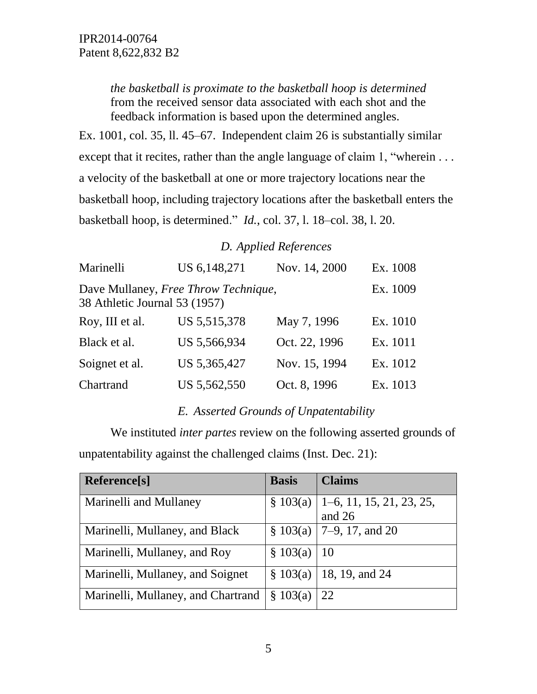*the basketball is proximate to the basketball hoop is determined* from the received sensor data associated with each shot and the feedback information is based upon the determined angles.

Ex. 1001, col. 35, ll. 45–67. Independent claim 26 is substantially similar except that it recites, rather than the angle language of claim 1, "wherein . . . a velocity of the basketball at one or more trajectory locations near the basketball hoop, including trajectory locations after the basketball enters the basketball hoop, is determined." *Id.*, col. 37, l. 18–col. 38, l. 20.

# *D. Applied References*

| Marinelli                                                             | US 6,148,271   | Nov. 14, 2000 | Ex. 1008 |
|-----------------------------------------------------------------------|----------------|---------------|----------|
| Dave Mullaney, Free Throw Technique,<br>38 Athletic Journal 53 (1957) | Ex. 1009       |               |          |
| Roy, III et al.                                                       | US 5, 515, 378 | May 7, 1996   | Ex. 1010 |
| Black et al.                                                          | US 5,566,934   | Oct. 22, 1996 | Ex. 1011 |
| Soignet et al.                                                        | US 5,365,427   | Nov. 15, 1994 | Ex. 1012 |
| Chartrand                                                             | US 5,562,550   | Oct. 8, 1996  | Ex. 1013 |

# *E. Asserted Grounds of Unpatentability*

We instituted *inter partes* review on the following asserted grounds of unpatentability against the challenged claims (Inst. Dec. 21):

| Reference[s]                       | <b>Basis</b>              | <b>Claims</b>                          |
|------------------------------------|---------------------------|----------------------------------------|
| Marinelli and Mullaney             |                           | $\S 103(a)$   1–6, 11, 15, 21, 23, 25, |
|                                    |                           | and 26                                 |
| Marinelli, Mullaney, and Black     |                           | $\S$ 103(a)   7–9, 17, and 20          |
| Marinelli, Mullaney, and Roy       | $\frac{8}{9}$ 103(a)   10 |                                        |
| Marinelli, Mullaney, and Soignet   | \$103(a)                  | 18, 19, and 24                         |
| Marinelli, Mullaney, and Chartrand | $\S$ 103(a)               | 22                                     |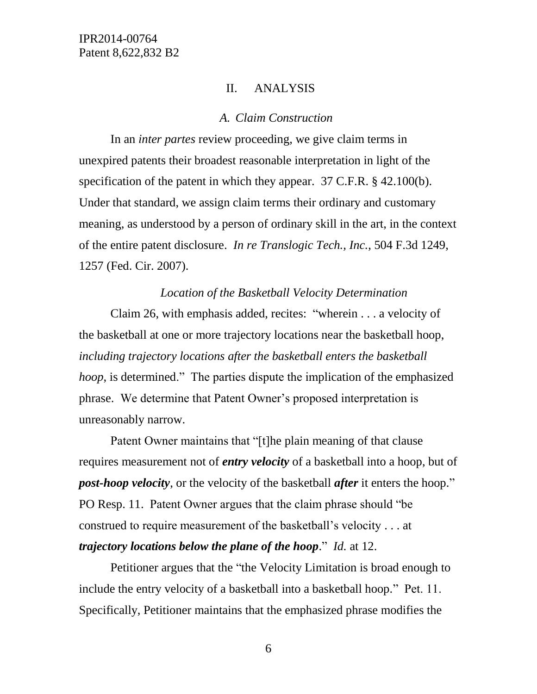#### II. ANALYSIS

#### *A. Claim Construction*

In an *inter partes* review proceeding, we give claim terms in unexpired patents their broadest reasonable interpretation in light of the specification of the patent in which they appear. 37 C.F.R. § 42.100(b). Under that standard, we assign claim terms their ordinary and customary meaning, as understood by a person of ordinary skill in the art, in the context of the entire patent disclosure. *In re Translogic Tech., Inc.*, 504 F.3d 1249, 1257 (Fed. Cir. 2007).

#### *Location of the Basketball Velocity Determination*

Claim 26, with emphasis added, recites: "wherein . . . a velocity of the basketball at one or more trajectory locations near the basketball hoop, *including trajectory locations after the basketball enters the basketball hoop*, is determined." The parties dispute the implication of the emphasized phrase. We determine that Patent Owner's proposed interpretation is unreasonably narrow.

Patent Owner maintains that "[t]he plain meaning of that clause requires measurement not of *entry velocity* of a basketball into a hoop, but of *post-hoop velocity*, or the velocity of the basketball *after* it enters the hoop." PO Resp. 11. Patent Owner argues that the claim phrase should "be construed to require measurement of the basketball's velocity . . . at *trajectory locations below the plane of the hoop*." *Id.* at 12.

Petitioner argues that the "the Velocity Limitation is broad enough to include the entry velocity of a basketball into a basketball hoop." Pet. 11. Specifically, Petitioner maintains that the emphasized phrase modifies the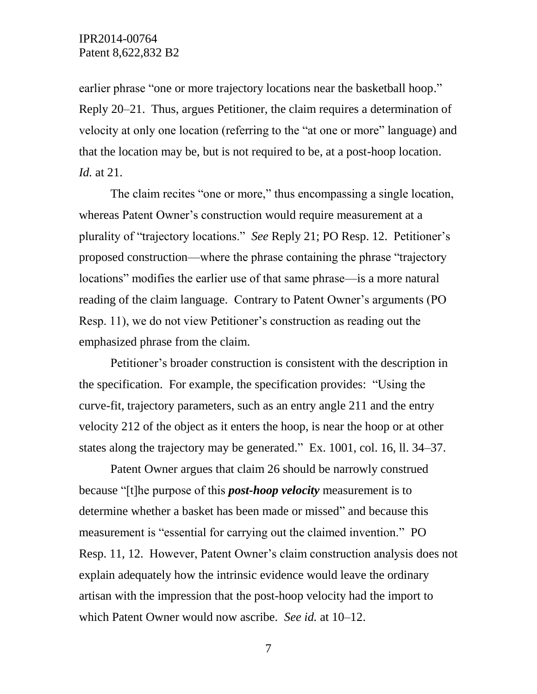earlier phrase "one or more trajectory locations near the basketball hoop." Reply 20–21. Thus, argues Petitioner, the claim requires a determination of velocity at only one location (referring to the "at one or more" language) and that the location may be, but is not required to be, at a post-hoop location. *Id.* at 21.

The claim recites "one or more," thus encompassing a single location, whereas Patent Owner's construction would require measurement at a plurality of "trajectory locations." *See* Reply 21; PO Resp. 12. Petitioner's proposed construction—where the phrase containing the phrase "trajectory locations" modifies the earlier use of that same phrase—is a more natural reading of the claim language. Contrary to Patent Owner's arguments (PO Resp. 11), we do not view Petitioner's construction as reading out the emphasized phrase from the claim.

Petitioner's broader construction is consistent with the description in the specification. For example, the specification provides: "Using the curve-fit, trajectory parameters, such as an entry angle 211 and the entry velocity 212 of the object as it enters the hoop, is near the hoop or at other states along the trajectory may be generated." Ex. 1001, col. 16, ll. 34–37.

Patent Owner argues that claim 26 should be narrowly construed because "[t]he purpose of this *post-hoop velocity* measurement is to determine whether a basket has been made or missed" and because this measurement is "essential for carrying out the claimed invention." PO Resp. 11, 12. However, Patent Owner's claim construction analysis does not explain adequately how the intrinsic evidence would leave the ordinary artisan with the impression that the post-hoop velocity had the import to which Patent Owner would now ascribe. *See id.* at 10–12.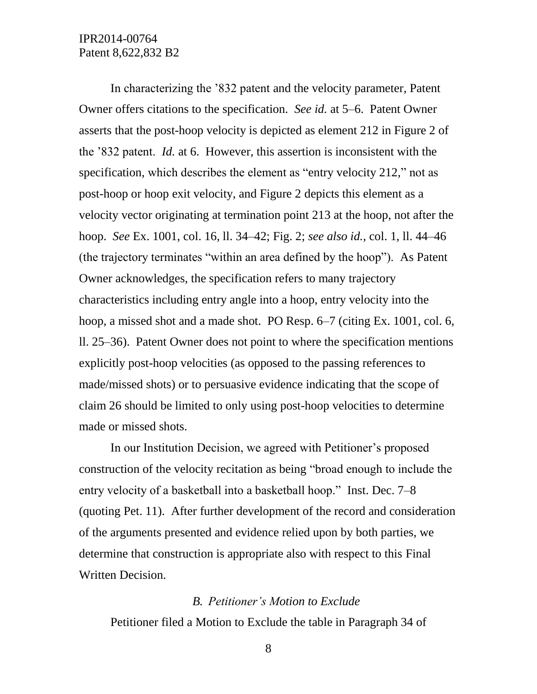In characterizing the '832 patent and the velocity parameter, Patent Owner offers citations to the specification. *See id.* at 5–6. Patent Owner asserts that the post-hoop velocity is depicted as element 212 in Figure 2 of the '832 patent. *Id.* at 6. However, this assertion is inconsistent with the specification, which describes the element as "entry velocity 212," not as post-hoop or hoop exit velocity, and Figure 2 depicts this element as a velocity vector originating at termination point 213 at the hoop, not after the hoop. *See* Ex. 1001, col. 16, ll. 34–42; Fig. 2; *see also id.*, col. 1, ll. 44–46 (the trajectory terminates "within an area defined by the hoop"). As Patent Owner acknowledges, the specification refers to many trajectory characteristics including entry angle into a hoop, entry velocity into the hoop, a missed shot and a made shot. PO Resp. 6–7 (citing Ex. 1001, col. 6, ll. 25–36). Patent Owner does not point to where the specification mentions explicitly post-hoop velocities (as opposed to the passing references to made/missed shots) or to persuasive evidence indicating that the scope of claim 26 should be limited to only using post-hoop velocities to determine made or missed shots.

In our Institution Decision, we agreed with Petitioner's proposed construction of the velocity recitation as being "broad enough to include the entry velocity of a basketball into a basketball hoop." Inst. Dec. 7–8 (quoting Pet. 11). After further development of the record and consideration of the arguments presented and evidence relied upon by both parties, we determine that construction is appropriate also with respect to this Final Written Decision.

#### *B. Petitioner's Motion to Exclude*

Petitioner filed a Motion to Exclude the table in Paragraph 34 of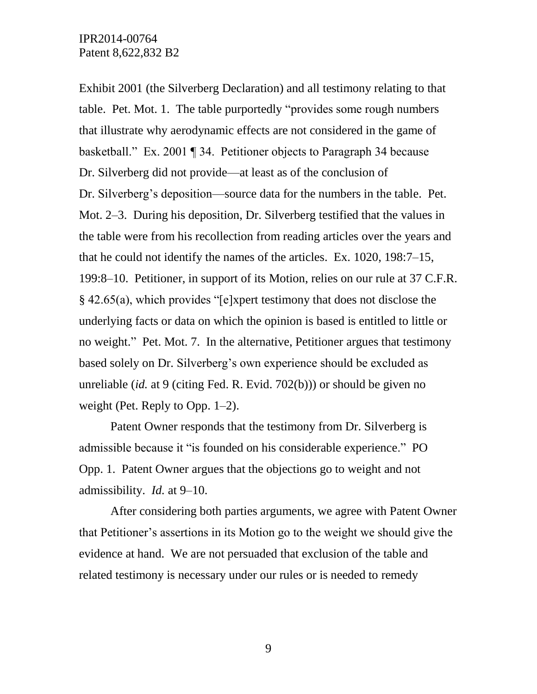Exhibit 2001 (the Silverberg Declaration) and all testimony relating to that table. Pet. Mot. 1. The table purportedly "provides some rough numbers that illustrate why aerodynamic effects are not considered in the game of basketball." Ex. 2001 ¶ 34. Petitioner objects to Paragraph 34 because Dr. Silverberg did not provide—at least as of the conclusion of Dr. Silverberg's deposition—source data for the numbers in the table. Pet. Mot. 2–3. During his deposition, Dr. Silverberg testified that the values in the table were from his recollection from reading articles over the years and that he could not identify the names of the articles. Ex. 1020, 198:7–15, 199:8–10. Petitioner, in support of its Motion, relies on our rule at 37 C.F.R. § 42.65(a), which provides "[e]xpert testimony that does not disclose the underlying facts or data on which the opinion is based is entitled to little or no weight." Pet. Mot. 7. In the alternative, Petitioner argues that testimony based solely on Dr. Silverberg's own experience should be excluded as unreliable (*id.* at 9 (citing Fed. R. Evid. 702(b))) or should be given no weight (Pet. Reply to Opp. 1–2).

Patent Owner responds that the testimony from Dr. Silverberg is admissible because it "is founded on his considerable experience." PO Opp. 1. Patent Owner argues that the objections go to weight and not admissibility. *Id.* at 9–10.

After considering both parties arguments, we agree with Patent Owner that Petitioner's assertions in its Motion go to the weight we should give the evidence at hand. We are not persuaded that exclusion of the table and related testimony is necessary under our rules or is needed to remedy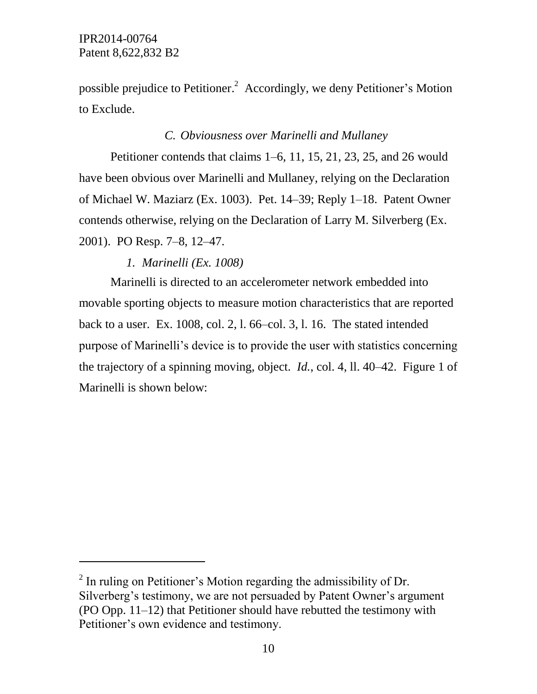l

possible prejudice to Petitioner.<sup>2</sup> Accordingly, we deny Petitioner's Motion to Exclude.

## *C. Obviousness over Marinelli and Mullaney*

Petitioner contends that claims 1–6, 11, 15, 21, 23, 25, and 26 would have been obvious over Marinelli and Mullaney, relying on the Declaration of Michael W. Maziarz (Ex. 1003). Pet. 14–39; Reply 1–18. Patent Owner contends otherwise, relying on the Declaration of Larry M. Silverberg (Ex. 2001). PO Resp. 7–8, 12–47.

## *1. Marinelli (Ex. 1008)*

Marinelli is directed to an accelerometer network embedded into movable sporting objects to measure motion characteristics that are reported back to a user. Ex. 1008, col. 2, l. 66–col. 3, l. 16. The stated intended purpose of Marinelli's device is to provide the user with statistics concerning the trajectory of a spinning moving, object. *Id.*, col. 4, ll. 40–42. Figure 1 of Marinelli is shown below:

 $2$  In ruling on Petitioner's Motion regarding the admissibility of Dr. Silverberg's testimony, we are not persuaded by Patent Owner's argument (PO Opp. 11–12) that Petitioner should have rebutted the testimony with Petitioner's own evidence and testimony.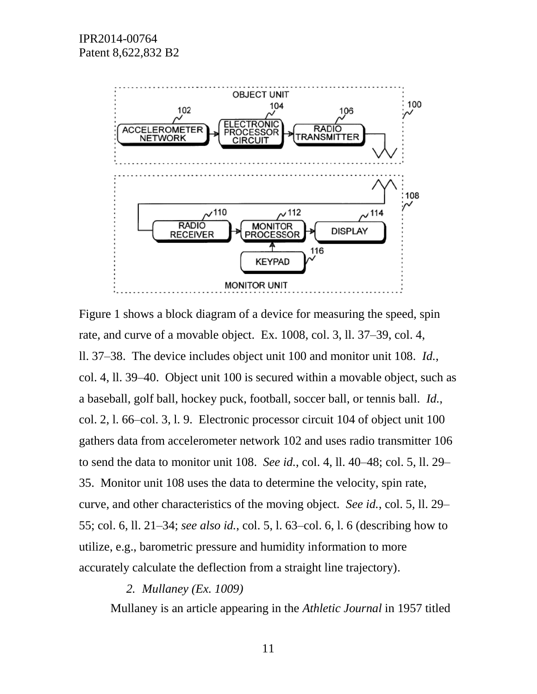

Figure 1 shows a block diagram of a device for measuring the speed, spin rate, and curve of a movable object. Ex. 1008, col. 3, ll. 37–39, col. 4, ll. 37–38. The device includes object unit 100 and monitor unit 108. *Id.*, col. 4, ll. 39–40. Object unit 100 is secured within a movable object, such as a baseball, golf ball, hockey puck, football, soccer ball, or tennis ball. *Id.*, col. 2, l. 66–col. 3, l. 9. Electronic processor circuit 104 of object unit 100 gathers data from accelerometer network 102 and uses radio transmitter 106 to send the data to monitor unit 108. *See id.*, col. 4, ll. 40–48; col. 5, ll. 29– 35. Monitor unit 108 uses the data to determine the velocity, spin rate, curve, and other characteristics of the moving object. *See id.*, col. 5, ll. 29– 55; col. 6, ll. 21–34; *see also id.*, col. 5, l. 63–col. 6, l. 6 (describing how to utilize, e.g., barometric pressure and humidity information to more accurately calculate the deflection from a straight line trajectory).

*2. Mullaney (Ex. 1009)*

Mullaney is an article appearing in the *Athletic Journal* in 1957 titled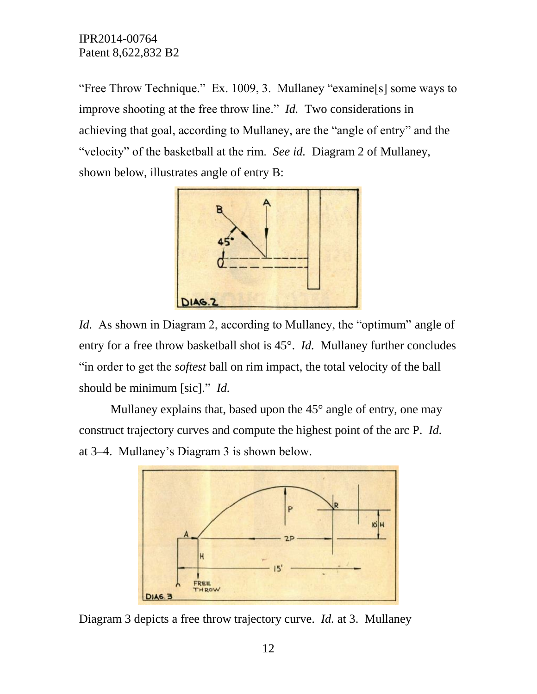"Free Throw Technique." Ex. 1009, 3. Mullaney "examine[s] some ways to improve shooting at the free throw line." *Id.* Two considerations in achieving that goal, according to Mullaney, are the "angle of entry" and the "velocity" of the basketball at the rim. *See id.* Diagram 2 of Mullaney, shown below, illustrates angle of entry B:



*Id.* As shown in Diagram 2, according to Mullaney, the "optimum" angle of entry for a free throw basketball shot is 45°. *Id.* Mullaney further concludes "in order to get the *softest* ball on rim impact, the total velocity of the ball should be minimum [sic]." *Id.*

Mullaney explains that, based upon the 45<sup>°</sup> angle of entry, one may construct trajectory curves and compute the highest point of the arc P. *Id.* at 3–4. Mullaney's Diagram 3 is shown below.



Diagram 3 depicts a free throw trajectory curve. *Id.* at 3. Mullaney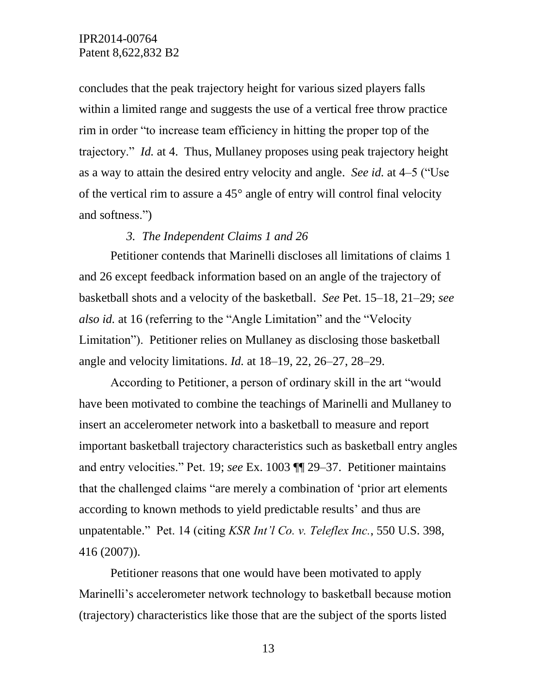concludes that the peak trajectory height for various sized players falls within a limited range and suggests the use of a vertical free throw practice rim in order "to increase team efficiency in hitting the proper top of the trajectory." *Id.* at 4. Thus, Mullaney proposes using peak trajectory height as a way to attain the desired entry velocity and angle. *See id.* at 4–5 ("Use of the vertical rim to assure a 45° angle of entry will control final velocity and softness.")

#### *3. The Independent Claims 1 and 26*

Petitioner contends that Marinelli discloses all limitations of claims 1 and 26 except feedback information based on an angle of the trajectory of basketball shots and a velocity of the basketball. *See* Pet. 15–18, 21–29; *see also id.* at 16 (referring to the "Angle Limitation" and the "Velocity Limitation"). Petitioner relies on Mullaney as disclosing those basketball angle and velocity limitations. *Id.* at 18–19, 22, 26–27, 28–29.

According to Petitioner, a person of ordinary skill in the art "would have been motivated to combine the teachings of Marinelli and Mullaney to insert an accelerometer network into a basketball to measure and report important basketball trajectory characteristics such as basketball entry angles and entry velocities." Pet. 19; *see* Ex. 1003 ¶¶ 29–37. Petitioner maintains that the challenged claims "are merely a combination of 'prior art elements according to known methods to yield predictable results' and thus are unpatentable." Pet. 14 (citing *KSR Int'l Co. v. Teleflex Inc.*, 550 U.S. 398, 416 (2007)).

Petitioner reasons that one would have been motivated to apply Marinelli's accelerometer network technology to basketball because motion (trajectory) characteristics like those that are the subject of the sports listed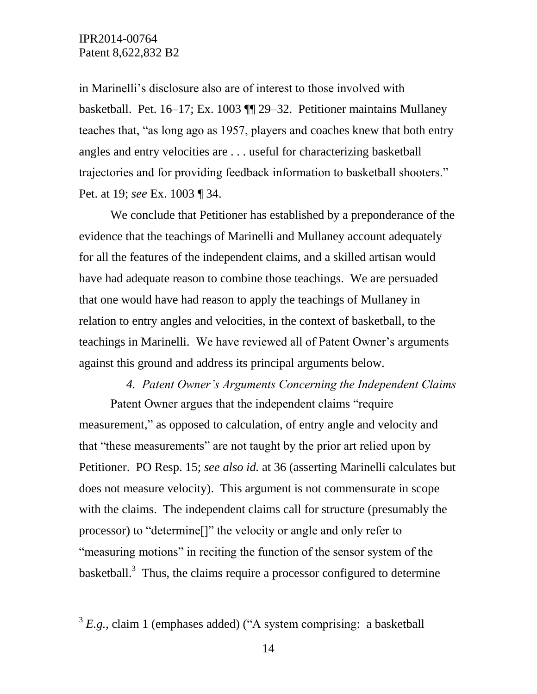l

in Marinelli's disclosure also are of interest to those involved with basketball. Pet. 16–17; Ex. 1003 ¶¶ 29–32. Petitioner maintains Mullaney teaches that, "as long ago as 1957, players and coaches knew that both entry angles and entry velocities are . . . useful for characterizing basketball trajectories and for providing feedback information to basketball shooters." Pet. at 19; *see* Ex. 1003 ¶ 34.

We conclude that Petitioner has established by a preponderance of the evidence that the teachings of Marinelli and Mullaney account adequately for all the features of the independent claims, and a skilled artisan would have had adequate reason to combine those teachings. We are persuaded that one would have had reason to apply the teachings of Mullaney in relation to entry angles and velocities, in the context of basketball, to the teachings in Marinelli. We have reviewed all of Patent Owner's arguments against this ground and address its principal arguments below.

# *4. Patent Owner's Arguments Concerning the Independent Claims*

Patent Owner argues that the independent claims "require measurement," as opposed to calculation, of entry angle and velocity and that "these measurements" are not taught by the prior art relied upon by Petitioner. PO Resp. 15; *see also id.* at 36 (asserting Marinelli calculates but does not measure velocity). This argument is not commensurate in scope with the claims. The independent claims call for structure (presumably the processor) to "determine[]" the velocity or angle and only refer to "measuring motions" in reciting the function of the sensor system of the basketball.<sup>3</sup> Thus, the claims require a processor configured to determine

 $3 E.g., claim 1 (emphases added) ("A system comprising: a basketball$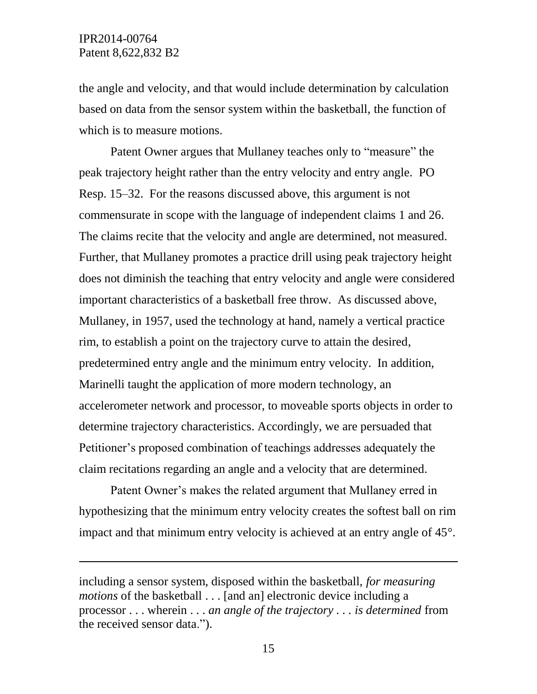l

the angle and velocity, and that would include determination by calculation based on data from the sensor system within the basketball, the function of which is to measure motions.

Patent Owner argues that Mullaney teaches only to "measure" the peak trajectory height rather than the entry velocity and entry angle. PO Resp. 15–32. For the reasons discussed above, this argument is not commensurate in scope with the language of independent claims 1 and 26. The claims recite that the velocity and angle are determined, not measured. Further, that Mullaney promotes a practice drill using peak trajectory height does not diminish the teaching that entry velocity and angle were considered important characteristics of a basketball free throw. As discussed above, Mullaney, in 1957, used the technology at hand, namely a vertical practice rim, to establish a point on the trajectory curve to attain the desired, predetermined entry angle and the minimum entry velocity. In addition, Marinelli taught the application of more modern technology, an accelerometer network and processor, to moveable sports objects in order to determine trajectory characteristics. Accordingly, we are persuaded that Petitioner's proposed combination of teachings addresses adequately the claim recitations regarding an angle and a velocity that are determined.

Patent Owner's makes the related argument that Mullaney erred in hypothesizing that the minimum entry velocity creates the softest ball on rim impact and that minimum entry velocity is achieved at an entry angle of 45°.

including a sensor system, disposed within the basketball, *for measuring motions* of the basketball . . . [and an] electronic device including a processor . . . wherein . . . *an angle of the trajectory . . . is determined* from the received sensor data.").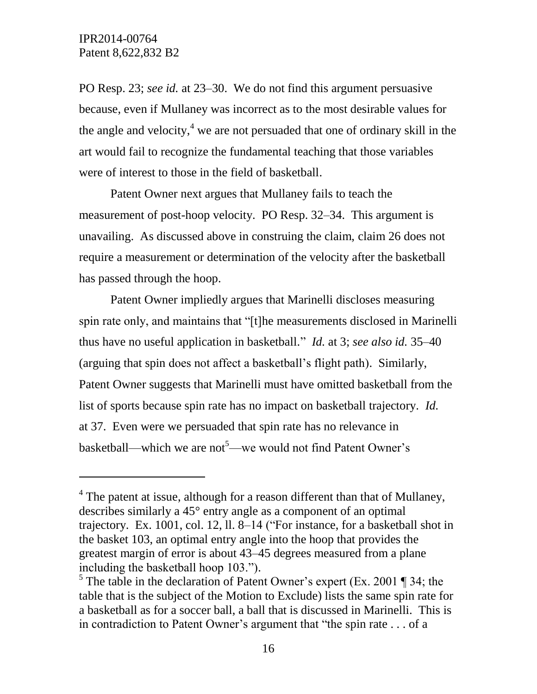$\overline{a}$ 

PO Resp. 23; *see id.* at 23–30. We do not find this argument persuasive because, even if Mullaney was incorrect as to the most desirable values for the angle and velocity, $4 \le a$  are not persuaded that one of ordinary skill in the art would fail to recognize the fundamental teaching that those variables were of interest to those in the field of basketball.

Patent Owner next argues that Mullaney fails to teach the measurement of post-hoop velocity. PO Resp. 32–34. This argument is unavailing. As discussed above in construing the claim, claim 26 does not require a measurement or determination of the velocity after the basketball has passed through the hoop.

Patent Owner impliedly argues that Marinelli discloses measuring spin rate only, and maintains that "[t]he measurements disclosed in Marinelli thus have no useful application in basketball." *Id.* at 3; *see also id.* 35–40 (arguing that spin does not affect a basketball's flight path). Similarly, Patent Owner suggests that Marinelli must have omitted basketball from the list of sports because spin rate has no impact on basketball trajectory. *Id.* at 37. Even were we persuaded that spin rate has no relevance in basketball—which we are not<sup>5</sup>—we would not find Patent Owner's

 $4$  The patent at issue, although for a reason different than that of Mullaney, describes similarly a 45° entry angle as a component of an optimal trajectory. Ex. 1001, col. 12, ll. 8–14 ("For instance, for a basketball shot in the basket 103, an optimal entry angle into the hoop that provides the greatest margin of error is about 43–45 degrees measured from a plane including the basketball hoop 103.").

<sup>&</sup>lt;sup>5</sup> The table in the declaration of Patent Owner's expert (Ex. 2001 ¶ 34; the table that is the subject of the Motion to Exclude) lists the same spin rate for a basketball as for a soccer ball, a ball that is discussed in Marinelli. This is in contradiction to Patent Owner's argument that "the spin rate . . . of a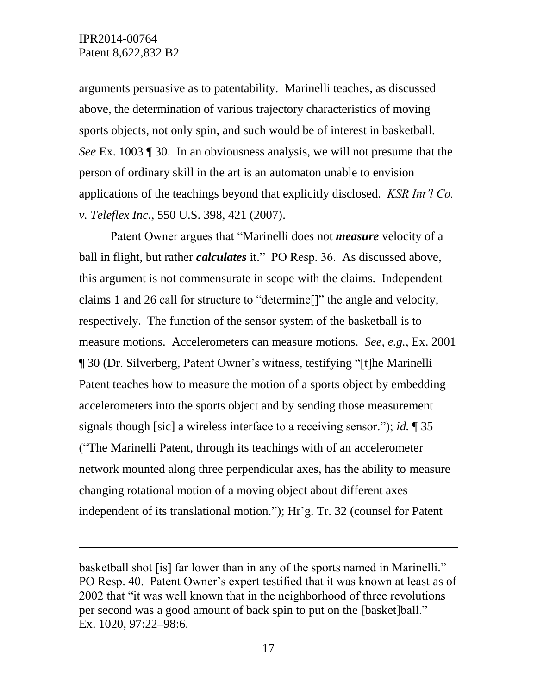$\overline{a}$ 

arguments persuasive as to patentability. Marinelli teaches, as discussed above, the determination of various trajectory characteristics of moving sports objects, not only spin, and such would be of interest in basketball. *See* Ex. 1003 ¶ 30. In an obviousness analysis, we will not presume that the person of ordinary skill in the art is an automaton unable to envision applications of the teachings beyond that explicitly disclosed. *KSR Int'l Co. v. Teleflex Inc.*, 550 U.S. 398, 421 (2007).

Patent Owner argues that "Marinelli does not *measure* velocity of a ball in flight, but rather *calculates* it." PO Resp. 36. As discussed above, this argument is not commensurate in scope with the claims. Independent claims 1 and 26 call for structure to "determine[]" the angle and velocity, respectively. The function of the sensor system of the basketball is to measure motions. Accelerometers can measure motions. *See, e.g.*, Ex. 2001 ¶ 30 (Dr. Silverberg, Patent Owner's witness, testifying "[t]he Marinelli Patent teaches how to measure the motion of a sports object by embedding accelerometers into the sports object and by sending those measurement signals though [sic] a wireless interface to a receiving sensor."); *id.* ¶ 35 ("The Marinelli Patent, through its teachings with of an accelerometer network mounted along three perpendicular axes, has the ability to measure changing rotational motion of a moving object about different axes independent of its translational motion."); Hr'g. Tr. 32 (counsel for Patent

basketball shot [is] far lower than in any of the sports named in Marinelli." PO Resp. 40. Patent Owner's expert testified that it was known at least as of 2002 that "it was well known that in the neighborhood of three revolutions per second was a good amount of back spin to put on the [basket]ball." Ex. 1020, 97:22–98:6.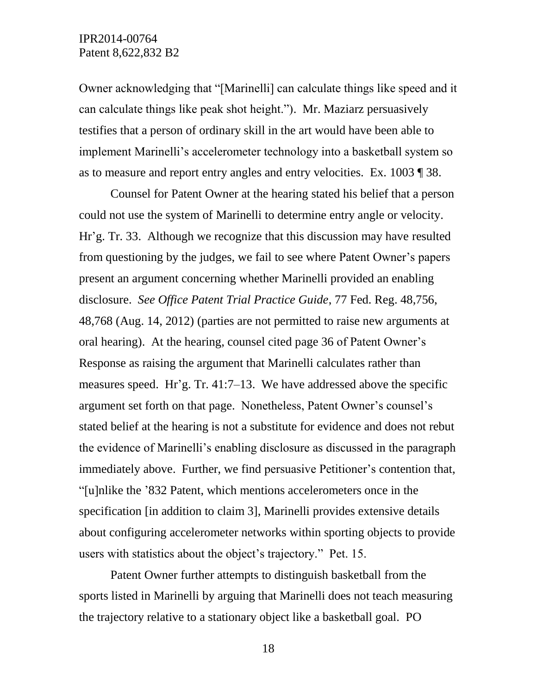Owner acknowledging that "[Marinelli] can calculate things like speed and it can calculate things like peak shot height."). Mr. Maziarz persuasively testifies that a person of ordinary skill in the art would have been able to implement Marinelli's accelerometer technology into a basketball system so as to measure and report entry angles and entry velocities. Ex. 1003 ¶ 38.

Counsel for Patent Owner at the hearing stated his belief that a person could not use the system of Marinelli to determine entry angle or velocity. Hr'g. Tr. 33. Although we recognize that this discussion may have resulted from questioning by the judges, we fail to see where Patent Owner's papers present an argument concerning whether Marinelli provided an enabling disclosure. *See Office Patent Trial Practice Guide*, 77 Fed. Reg. 48,756, 48,768 (Aug. 14, 2012) (parties are not permitted to raise new arguments at oral hearing). At the hearing, counsel cited page 36 of Patent Owner's Response as raising the argument that Marinelli calculates rather than measures speed. Hr'g. Tr. 41:7–13. We have addressed above the specific argument set forth on that page. Nonetheless, Patent Owner's counsel's stated belief at the hearing is not a substitute for evidence and does not rebut the evidence of Marinelli's enabling disclosure as discussed in the paragraph immediately above. Further, we find persuasive Petitioner's contention that, "[u]nlike the '832 Patent, which mentions accelerometers once in the specification [in addition to claim 3], Marinelli provides extensive details about configuring accelerometer networks within sporting objects to provide users with statistics about the object's trajectory." Pet. 15.

Patent Owner further attempts to distinguish basketball from the sports listed in Marinelli by arguing that Marinelli does not teach measuring the trajectory relative to a stationary object like a basketball goal. PO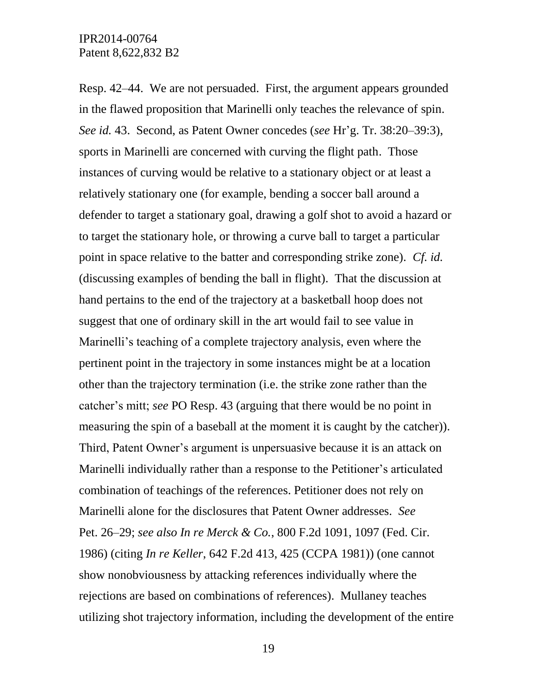Resp. 42–44. We are not persuaded. First, the argument appears grounded in the flawed proposition that Marinelli only teaches the relevance of spin. *See id.* 43. Second, as Patent Owner concedes (*see* Hr'g. Tr. 38:20–39:3), sports in Marinelli are concerned with curving the flight path. Those instances of curving would be relative to a stationary object or at least a relatively stationary one (for example, bending a soccer ball around a defender to target a stationary goal, drawing a golf shot to avoid a hazard or to target the stationary hole, or throwing a curve ball to target a particular point in space relative to the batter and corresponding strike zone). *Cf. id.* (discussing examples of bending the ball in flight). That the discussion at hand pertains to the end of the trajectory at a basketball hoop does not suggest that one of ordinary skill in the art would fail to see value in Marinelli's teaching of a complete trajectory analysis, even where the pertinent point in the trajectory in some instances might be at a location other than the trajectory termination (i.e. the strike zone rather than the catcher's mitt; *see* PO Resp. 43 (arguing that there would be no point in measuring the spin of a baseball at the moment it is caught by the catcher)). Third, Patent Owner's argument is unpersuasive because it is an attack on Marinelli individually rather than a response to the Petitioner's articulated combination of teachings of the references. Petitioner does not rely on Marinelli alone for the disclosures that Patent Owner addresses. *See* Pet. 26–29; *see also In re Merck & Co.*, 800 F.2d 1091, 1097 (Fed. Cir. 1986) (citing *In re Keller*, 642 F.2d 413, 425 (CCPA 1981)) (one cannot show nonobviousness by attacking references individually where the rejections are based on combinations of references). Mullaney teaches utilizing shot trajectory information, including the development of the entire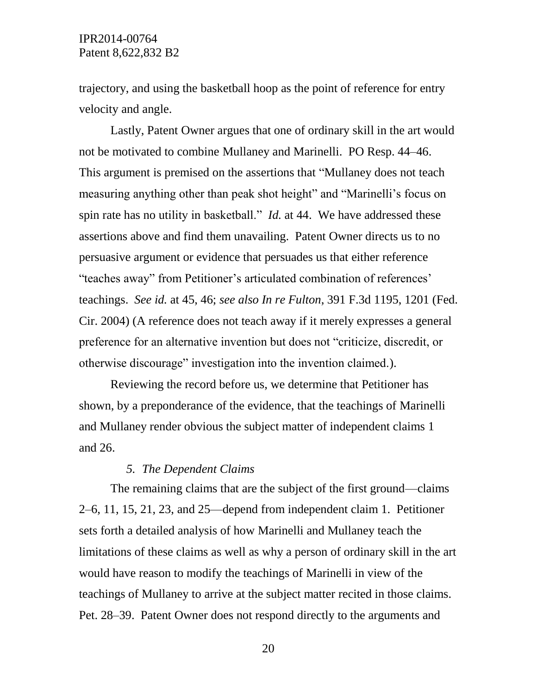trajectory, and using the basketball hoop as the point of reference for entry velocity and angle.

Lastly, Patent Owner argues that one of ordinary skill in the art would not be motivated to combine Mullaney and Marinelli. PO Resp. 44–46. This argument is premised on the assertions that "Mullaney does not teach measuring anything other than peak shot height" and "Marinelli's focus on spin rate has no utility in basketball." *Id.* at 44. We have addressed these assertions above and find them unavailing. Patent Owner directs us to no persuasive argument or evidence that persuades us that either reference "teaches away" from Petitioner's articulated combination of references' teachings. *See id.* at 45, 46; *see also In re Fulton*, 391 F.3d 1195, 1201 (Fed. Cir. 2004) (A reference does not teach away if it merely expresses a general preference for an alternative invention but does not "criticize, discredit, or otherwise discourage" investigation into the invention claimed.).

Reviewing the record before us, we determine that Petitioner has shown, by a preponderance of the evidence, that the teachings of Marinelli and Mullaney render obvious the subject matter of independent claims 1 and 26.

#### *5. The Dependent Claims*

The remaining claims that are the subject of the first ground—claims 2–6, 11, 15, 21, 23, and 25—depend from independent claim 1. Petitioner sets forth a detailed analysis of how Marinelli and Mullaney teach the limitations of these claims as well as why a person of ordinary skill in the art would have reason to modify the teachings of Marinelli in view of the teachings of Mullaney to arrive at the subject matter recited in those claims. Pet. 28–39. Patent Owner does not respond directly to the arguments and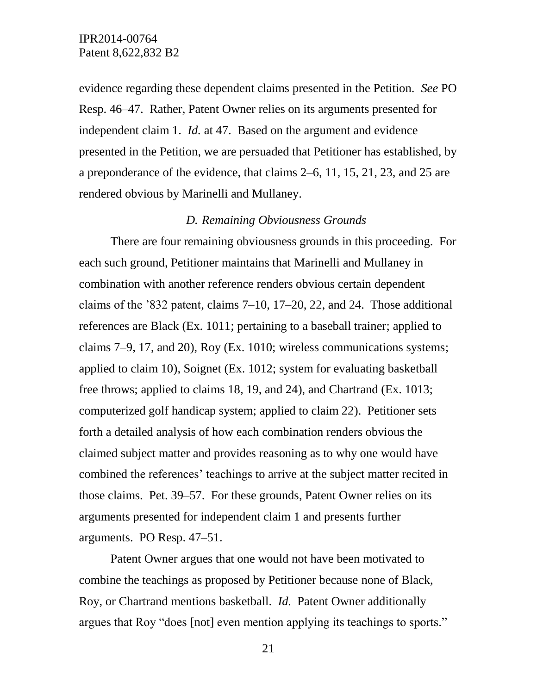evidence regarding these dependent claims presented in the Petition. *See* PO Resp. 46–47. Rather, Patent Owner relies on its arguments presented for independent claim 1. *Id.* at 47. Based on the argument and evidence presented in the Petition, we are persuaded that Petitioner has established, by a preponderance of the evidence, that claims 2–6, 11, 15, 21, 23, and 25 are rendered obvious by Marinelli and Mullaney.

#### *D. Remaining Obviousness Grounds*

There are four remaining obviousness grounds in this proceeding. For each such ground, Petitioner maintains that Marinelli and Mullaney in combination with another reference renders obvious certain dependent claims of the '832 patent, claims 7–10, 17–20, 22, and 24. Those additional references are Black (Ex. 1011; pertaining to a baseball trainer; applied to claims 7–9, 17, and 20), Roy (Ex. 1010; wireless communications systems; applied to claim 10), Soignet (Ex. 1012; system for evaluating basketball free throws; applied to claims 18, 19, and 24), and Chartrand (Ex. 1013; computerized golf handicap system; applied to claim 22). Petitioner sets forth a detailed analysis of how each combination renders obvious the claimed subject matter and provides reasoning as to why one would have combined the references' teachings to arrive at the subject matter recited in those claims. Pet. 39–57. For these grounds, Patent Owner relies on its arguments presented for independent claim 1 and presents further arguments. PO Resp. 47–51.

Patent Owner argues that one would not have been motivated to combine the teachings as proposed by Petitioner because none of Black, Roy, or Chartrand mentions basketball. *Id.* Patent Owner additionally argues that Roy "does [not] even mention applying its teachings to sports."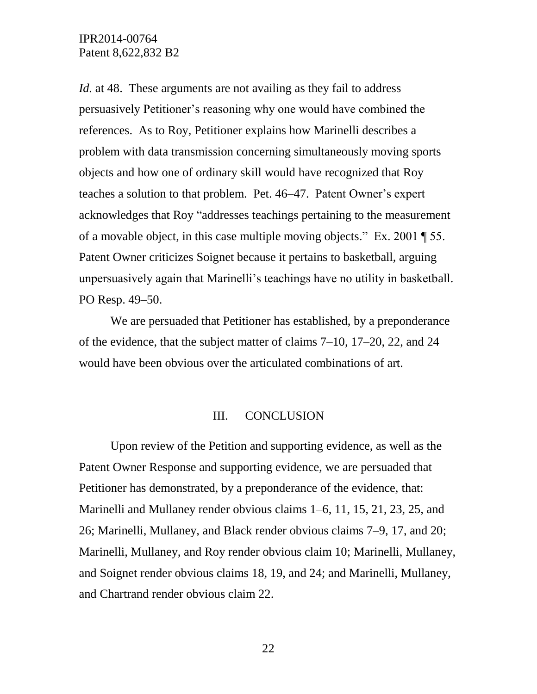*Id.* at 48. These arguments are not availing as they fail to address persuasively Petitioner's reasoning why one would have combined the references. As to Roy, Petitioner explains how Marinelli describes a problem with data transmission concerning simultaneously moving sports objects and how one of ordinary skill would have recognized that Roy teaches a solution to that problem. Pet. 46–47. Patent Owner's expert acknowledges that Roy "addresses teachings pertaining to the measurement of a movable object, in this case multiple moving objects." Ex. 2001 ¶ 55. Patent Owner criticizes Soignet because it pertains to basketball, arguing unpersuasively again that Marinelli's teachings have no utility in basketball. PO Resp. 49–50.

We are persuaded that Petitioner has established, by a preponderance of the evidence, that the subject matter of claims 7–10, 17–20, 22, and 24 would have been obvious over the articulated combinations of art.

#### III. CONCLUSION

Upon review of the Petition and supporting evidence, as well as the Patent Owner Response and supporting evidence, we are persuaded that Petitioner has demonstrated, by a preponderance of the evidence, that: Marinelli and Mullaney render obvious claims 1–6, 11, 15, 21, 23, 25, and 26; Marinelli, Mullaney, and Black render obvious claims 7–9, 17, and 20; Marinelli, Mullaney, and Roy render obvious claim 10; Marinelli, Mullaney, and Soignet render obvious claims 18, 19, and 24; and Marinelli, Mullaney, and Chartrand render obvious claim 22.